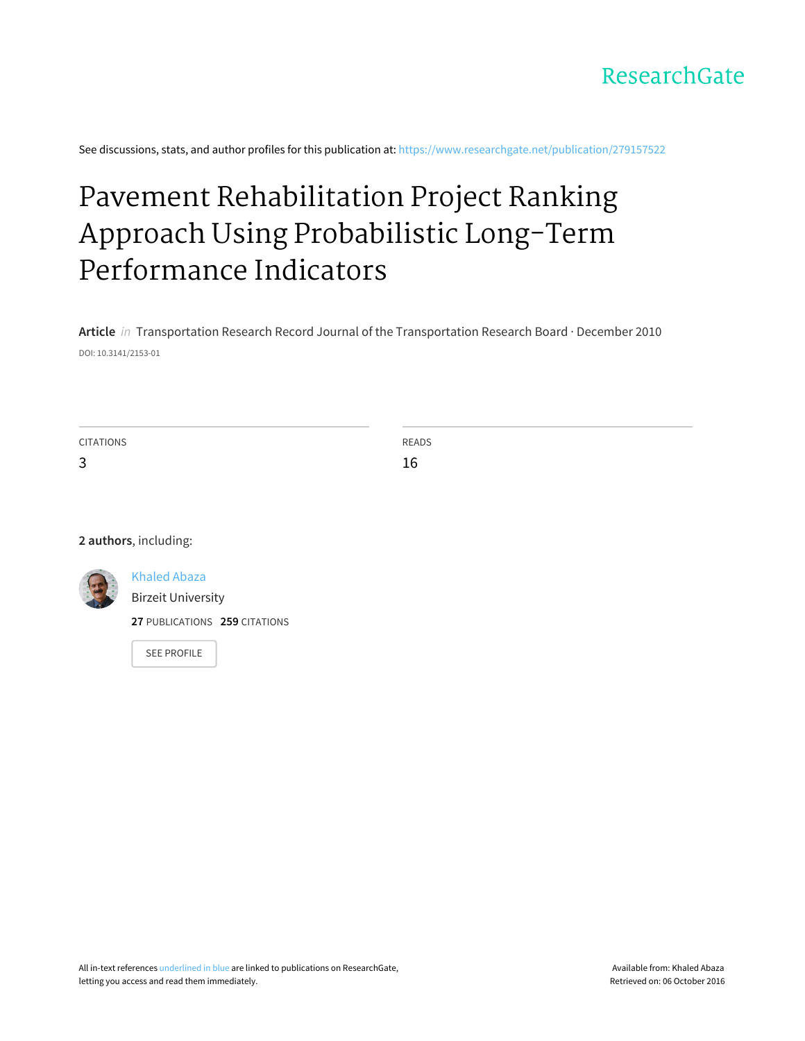

See discussions, stats, and author profiles for this publication at: [https://www.researchgate.net/publication/279157522](https://www.researchgate.net/publication/279157522_Pavement_Rehabilitation_Project_Ranking_Approach_Using_Probabilistic_Long-Term_Performance_Indicators?enrichId=rgreq-60fff9fce34dc03ea61e7d3bd40523b1-XXX&enrichSource=Y292ZXJQYWdlOzI3OTE1NzUyMjtBUzoyNDkyMjU1MzU1NTM1MzdAMTQzNjQzMTQwNjQ4Mg%3D%3D&el=1_x_2)

# Pavement [Rehabilitation](https://www.researchgate.net/publication/279157522_Pavement_Rehabilitation_Project_Ranking_Approach_Using_Probabilistic_Long-Term_Performance_Indicators?enrichId=rgreq-60fff9fce34dc03ea61e7d3bd40523b1-XXX&enrichSource=Y292ZXJQYWdlOzI3OTE1NzUyMjtBUzoyNDkyMjU1MzU1NTM1MzdAMTQzNjQzMTQwNjQ4Mg%3D%3D&el=1_x_3) Project Ranking Approach Using Probabilistic Long-Term Performance Indicators

**Article** in Transportation Research Record Journal of the Transportation Research Board · December 2010 DOI: 10.3141/2153-01

| CITATIONS | READS |
|-----------|-------|
| ີ<br>ັ    | 16    |

## **2 authors**, including:



[Khaled](https://www.researchgate.net/profile/Khaled_Abaza?enrichId=rgreq-60fff9fce34dc03ea61e7d3bd40523b1-XXX&enrichSource=Y292ZXJQYWdlOzI3OTE1NzUyMjtBUzoyNDkyMjU1MzU1NTM1MzdAMTQzNjQzMTQwNjQ4Mg%3D%3D&el=1_x_5) Abaza

Birzeit [University](https://www.researchgate.net/institution/Birzeit_University?enrichId=rgreq-60fff9fce34dc03ea61e7d3bd40523b1-XXX&enrichSource=Y292ZXJQYWdlOzI3OTE1NzUyMjtBUzoyNDkyMjU1MzU1NTM1MzdAMTQzNjQzMTQwNjQ4Mg%3D%3D&el=1_x_6)

**27** PUBLICATIONS **259** CITATIONS

SEE [PROFILE](https://www.researchgate.net/profile/Khaled_Abaza?enrichId=rgreq-60fff9fce34dc03ea61e7d3bd40523b1-XXX&enrichSource=Y292ZXJQYWdlOzI3OTE1NzUyMjtBUzoyNDkyMjU1MzU1NTM1MzdAMTQzNjQzMTQwNjQ4Mg%3D%3D&el=1_x_7)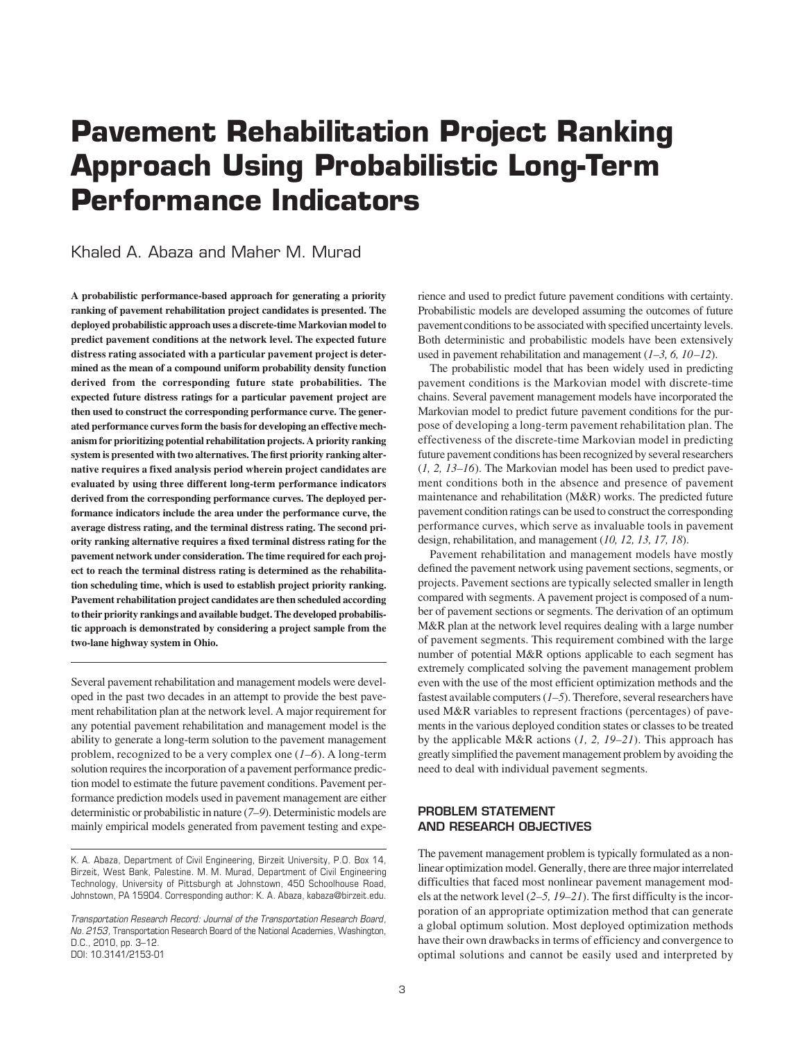## **Pavement Rehabilitation Project Ranking Approach Using Probabilistic Long-Term Performance Indicators**

## Khaled A. Abaza and Maher M. Murad

**A probabilistic performance-based approach for generating a priority ranking of pavement rehabilitation project candidates is presented. The deployed probabilistic approach uses a discrete-time Markovian model to predict pavement conditions at the network level. The expected future distress rating associated with a particular pavement project is determined as the mean of a compound uniform probability density function derived from the corresponding future state probabilities. The expected future distress ratings for a particular pavement project are then used to construct the corresponding performance curve. The generated performance curves form the basis for developing an effective mechanism for prioritizing potential rehabilitation projects. A priority ranking system is presented with two alternatives. The first priority ranking alternative requires a fixed analysis period wherein project candidates are evaluated by using three different long-term performance indicators derived from the corresponding performance curves. The deployed performance indicators include the area under the performance curve, the average distress rating, and the terminal distress rating. The second priority ranking alternative requires a fixed terminal distress rating for the pavement network under consideration. The time required for each project to reach the terminal distress rating is determined as the rehabilitation scheduling time, which is used to establish project priority ranking. Pavement rehabilitation project candidates are then scheduled according to their priority rankings and available budget. The developed probabilistic approach is demonstrated by considering a project sample from the two-lane highway system in Ohio.**

Several pavement rehabilitation and management models were developed in the past two decades in an attempt to provide the best pavement rehabilitation plan at the network level. A major requirement for any potential pavement rehabilitation and management model is the ability to generate a long-term solution to the pavement management problem, recognized to be a very complex one (*1–6*). A long-term solution requires the incorporation of a pavement performance prediction model to estimate the future pavement conditions. Pavement performance prediction models used in pavement management are either deterministic or probabilistic in nature (*7–9*). Deterministic models are mainly empirical models generated from pavement testing and experience and used to predict future pavement conditions with certainty. Probabilistic models are developed assuming the outcomes of future pavement conditions to be associated with specified uncertainty levels. Both deterministic and probabilistic models have been extensively used in pavement rehabilitation and management (*1–3, 6, 10–12*).

The probabilistic model that has been widely used in predicting pavement conditions is the Markovian model with discrete-time chains. Several pavement management models have incorporated the Markovian model to predict future pavement conditions for the purpose of developing a long-term pavement rehabilitation plan. The effectiveness of the discrete-time Markovian model in predicting future pavement conditions has been recognized by several researchers (*1, 2, 13–16*). The Markovian model has been used to predict pavement conditions both in the absence and presence of pavement maintenance and rehabilitation (M&R) works. The predicted future pavement condition ratings can be used to construct the corresponding performance curves, which serve as invaluable tools in pavement design, rehabilitation, and management (*10, 12, 13, 17, 18*).

Pavement rehabilitation and management models have mostly defined the pavement network using pavement sections, segments, or projects. Pavement sections are typically selected smaller in length compared with segments. A pavement project is composed of a number of pavement sections or segments. The derivation of an optimum M&R plan at the network level requires dealing with a large number of pavement segments. This requirement combined with the large number of potential M&R options applicable to each segment has extremely complicated solving the pavement management problem even with the use of the most efficient optimization methods and the fastest available computers (*1–5*). Therefore, several researchers have used M&R variables to represent fractions (percentages) of pavements in the various deployed condition states or classes to be treated by the applicable M&R actions (*1, 2, 19–21*). This approach has greatly simplified the pavement management problem by avoiding the need to deal with individual pavement segments.

## **PROBLEM STATEMENT AND RESEARCH OBJECTIVES**

The pavement management problem is typically formulated as a nonlinear optimization model. Generally, there are three major interrelated difficulties that faced most nonlinear pavement management models at the network level (*2–5, 19–21*). The first difficulty is the incorporation of an appropriate optimization method that can generate a global optimum solution. Most deployed optimization methods have their own drawbacks in terms of efficiency and convergence to optimal solutions and cannot be easily used and interpreted by

3

K. A. Abaza, Department of Civil Engineering, Birzeit University, P.O. Box 14, Birzeit, West Bank, Palestine. M. M. Murad, Department of Civil Engineering Technology, University of Pittsburgh at Johnstown, 450 Schoolhouse Road, Johnstown, PA 15904. Corresponding author: K. A. Abaza, kabaza@birzeit.edu.

*Transportation Research Record: Journal of the Transportation Research Board, No. 2153,* Transportation Research Board of the National Academies, Washington, D.C., 2010, pp. 3–12. DOI: 10.3141/2153-01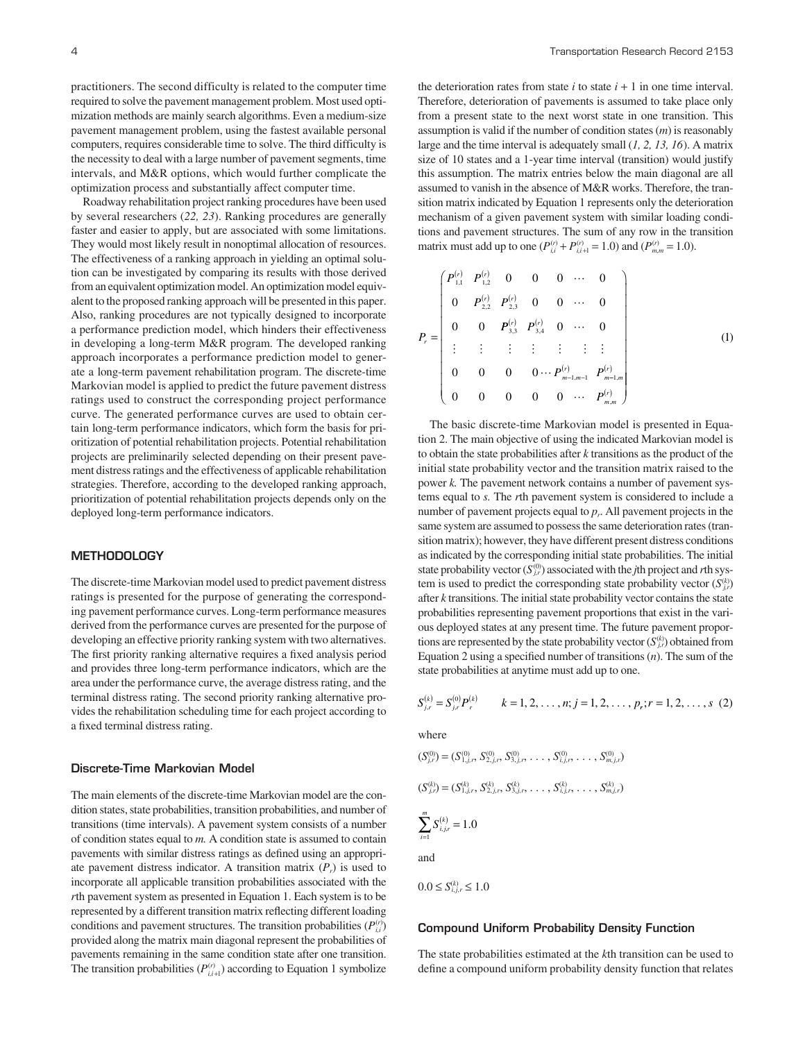practitioners. The second difficulty is related to the computer time required to solve the pavement management problem. Most used optimization methods are mainly search algorithms. Even a medium-size pavement management problem, using the fastest available personal computers, requires considerable time to solve. The third difficulty is the necessity to deal with a large number of pavement segments, time intervals, and M&R options, which would further complicate the optimization process and substantially affect computer time.

Roadway rehabilitation project ranking procedures have been used by several researchers (*22, 23*). Ranking procedures are generally faster and easier to apply, but are associated with some limitations. They would most likely result in nonoptimal allocation of resources. The effectiveness of a ranking approach in yielding an optimal solution can be investigated by comparing its results with those derived from an equivalent optimization model. An optimization model equivalent to the proposed ranking approach will be presented in this paper. Also, ranking procedures are not typically designed to incorporate a performance prediction model, which hinders their effectiveness in developing a long-term M&R program. The developed ranking approach incorporates a performance prediction model to generate a long-term pavement rehabilitation program. The discrete-time Markovian model is applied to predict the future pavement distress ratings used to construct the corresponding project performance curve. The generated performance curves are used to obtain certain long-term performance indicators, which form the basis for prioritization of potential rehabilitation projects. Potential rehabilitation projects are preliminarily selected depending on their present pavement distress ratings and the effectiveness of applicable rehabilitation strategies. Therefore, according to the developed ranking approach, prioritization of potential rehabilitation projects depends only on the deployed long-term performance indicators.

## **METHODOLOGY**

The discrete-time Markovian model used to predict pavement distress ratings is presented for the purpose of generating the corresponding pavement performance curves. Long-term performance measures derived from the performance curves are presented for the purpose of developing an effective priority ranking system with two alternatives. The first priority ranking alternative requires a fixed analysis period and provides three long-term performance indicators, which are the area under the performance curve, the average distress rating, and the terminal distress rating. The second priority ranking alternative provides the rehabilitation scheduling time for each project according to a fixed terminal distress rating.

#### **Discrete-Time Markovian Model**

The main elements of the discrete-time Markovian model are the condition states, state probabilities, transition probabilities, and number of transitions (time intervals). A pavement system consists of a number of condition states equal to *m.* A condition state is assumed to contain pavements with similar distress ratings as defined using an appropriate pavement distress indicator. A transition matrix  $(P_r)$  is used to incorporate all applicable transition probabilities associated with the *r*th pavement system as presented in Equation 1. Each system is to be represented by a different transition matrix reflecting different loading conditions and pavement structures. The transition probabilities  $(P_{i,j}^{(r)})$ provided along the matrix main diagonal represent the probabilities of pavements remaining in the same condition state after one transition. The transition probabilities  $(P_{i,i+1}^{(r)})$  according to Equation 1 symbolize

the deterioration rates from state  $i$  to state  $i + 1$  in one time interval. Therefore, deterioration of pavements is assumed to take place only from a present state to the next worst state in one transition. This assumption is valid if the number of condition states (*m*) is reasonably large and the time interval is adequately small (*1, 2, 13, 16*). A matrix size of 10 states and a 1-year time interval (transition) would justify this assumption. The matrix entries below the main diagonal are all assumed to vanish in the absence of M&R works. Therefore, the transition matrix indicated by Equation 1 represents only the deterioration mechanism of a given pavement system with similar loading conditions and pavement structures. The sum of any row in the transition matrix must add up to one  $(P_{i,i}^{(r)} + P_{i,i+1}^{(r)} = 1.0)$  and  $(P_{m,m}^{(r)} = 1.0)$ .

$$
P_r = \begin{pmatrix} P_{1,1}^{(r)} & P_{1,2}^{(r)} & 0 & 0 & 0 & \cdots & 0 \\ 0 & P_{2,2}^{(r)} & P_{2,3}^{(r)} & 0 & 0 & \cdots & 0 \\ 0 & 0 & P_{3,3}^{(r)} & P_{3,4}^{(r)} & 0 & \cdots & 0 \\ \vdots & \vdots & \vdots & \vdots & \vdots & \vdots & \vdots \\ 0 & 0 & 0 & 0 & \cdots & P_{m-1,m-1}^{(r)} & P_{m-1,m}^{(r)} \\ 0 & 0 & 0 & 0 & \cdots & P_{m,m}^{(r)} \end{pmatrix} \tag{1}
$$

The basic discrete-time Markovian model is presented in Equation 2. The main objective of using the indicated Markovian model is to obtain the state probabilities after *k* transitions as the product of the initial state probability vector and the transition matrix raised to the power *k.* The pavement network contains a number of pavement systems equal to *s.* The *r*th pavement system is considered to include a number of pavement projects equal to *pr*. All pavement projects in the same system are assumed to possess the same deterioration rates (transition matrix); however, they have different present distress conditions as indicated by the corresponding initial state probabilities. The initial state probability vector  $(S_{j,r}^{(0)})$  associated with the *j*th project and *r*th system is used to predict the corresponding state probability vector  $(S_{j,r}^{(k)})$ after *k* transitions. The initial state probability vector contains the state probabilities representing pavement proportions that exist in the various deployed states at any present time. The future pavement proportions are represented by the state probability vector  $(S_{j,r}^{(k)})$  obtained from Equation 2 using a specified number of transitions (*n*). The sum of the state probabilities at anytime must add up to one.

$$
S_{j,r}^{(k)} = S_{j,r}^{(0)} P_r^{(k)} \qquad k = 1, 2, \dots, n; j = 1, 2, \dots, p_r; r = 1, 2, \dots, s \ (2)
$$

where

$$
(S_{j,r}^{(0)}) = (S_{1,j,r}^{(0)}, S_{2,j,r}^{(0)}, S_{3,j,r}^{(0)}, \dots, S_{i,j,r}^{(0)}, \dots, S_{m,j,r}^{(0)})
$$
  
\n
$$
(S_{j,r}^{(k)}) = (S_{1,j,r}^{(k)}, S_{2,j,r}^{(k)}, S_{3,j,r}^{(k)}, \dots, S_{i,j,r}^{(k)}, \dots, S_{m,j,r}^{(k)})
$$
  
\n
$$
\sum_{i=1}^{m} S_{i,j,r}^{(k)} = 1.0
$$

and

0.0 ≤  $S_{i,j,r}^{(k)}$  ≤ 1.0

#### **Compound Uniform Probability Density Function**

The state probabilities estimated at the *k*th transition can be used to define a compound uniform probability density function that relates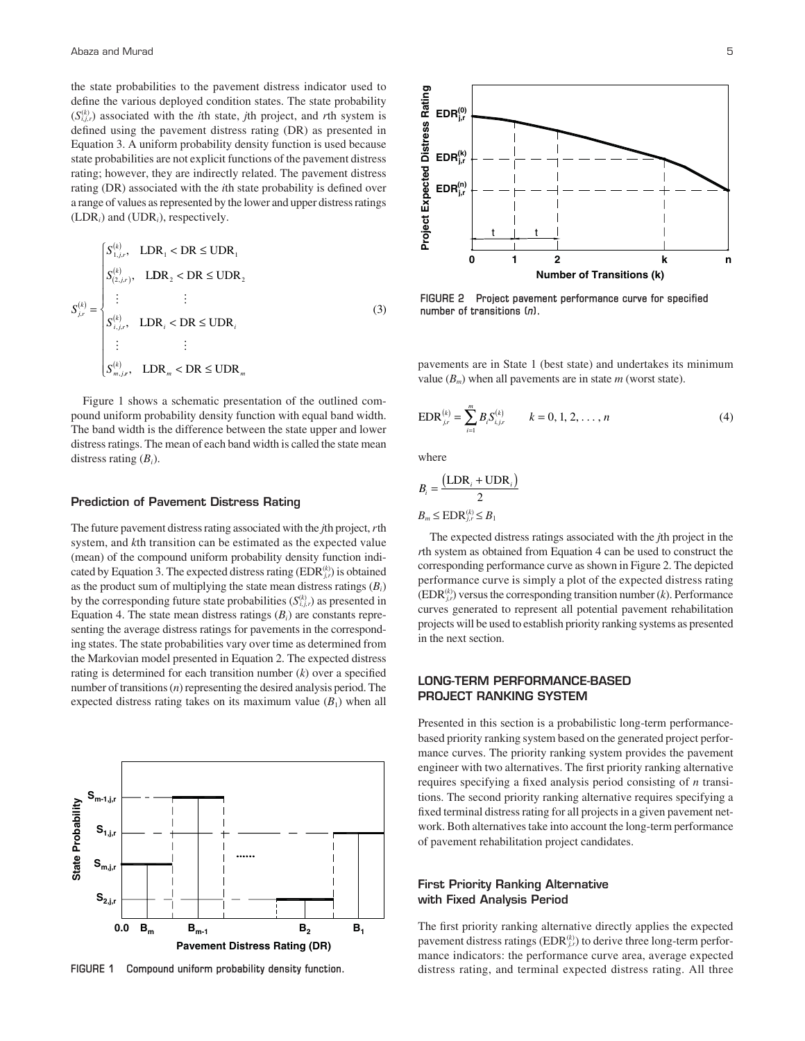the state probabilities to the pavement distress indicator used to define the various deployed condition states. The state probability  $(S_{i,j,r}^{(k)})$  associated with the *i*th state, *j*th project, and *r*th system is defined using the pavement distress rating (DR) as presented in Equation 3. A uniform probability density function is used because state probabilities are not explicit functions of the pavement distress rating; however, they are indirectly related. The pavement distress rating (DR) associated with the *i*th state probability is defined over a range of values as represented by the lower and upper distress ratings (LDR*i*) and (UDR*i*), respectively.

$$
S_{i,j,r}^{(k)} = \begin{cases} S_{1,j,r}^{(k)}, & \text{LDR}_1 < \text{DR} \leq \text{UDR}_1 \\ S_{(2,j,r)}^{(k)}, & \text{LDR}_2 < \text{DR} \leq \text{UDR}_2 \\ \vdots & \vdots \\ S_{i,j,r}^{(k)}, & \text{LDR}_i < \text{DR} \leq \text{UDR}_i \\ \vdots & \vdots \\ S_{m,j,r}^{(k)}, & \text{LDR}_m < \text{DR} \leq \text{UDR}_m \end{cases} \tag{3}
$$

Figure 1 shows a schematic presentation of the outlined compound uniform probability density function with equal band width. The band width is the difference between the state upper and lower distress ratings. The mean of each band width is called the state mean distress rating (*Bi*).

#### **Prediction of Pavement Distress Rating**

The future pavement distress rating associated with the *j*th project, *r*th system, and *k*th transition can be estimated as the expected value (mean) of the compound uniform probability density function indicated by Equation 3. The expected distress rating (EDR(*<sup>k</sup>*) *j,r*) is obtained as the product sum of multiplying the state mean distress ratings  $(B_i)$ by the corresponding future state probabilities  $(S_{i,j,r}^{(k)})$  as presented in Equation 4. The state mean distress ratings  $(B_i)$  are constants representing the average distress ratings for pavements in the corresponding states. The state probabilities vary over time as determined from the Markovian model presented in Equation 2. The expected distress rating is determined for each transition number (*k*) over a specified number of transitions (*n*) representing the desired analysis period. The expected distress rating takes on its maximum value  $(B_1)$  when all



**FIGURE 1 Compound uniform probability density function.**



**FIGURE 2 Project pavement performance curve for specified number of transitions (***n***).**

pavements are in State 1 (best state) and undertakes its minimum value  $(B_m)$  when all pavements are in state  $m$  (worst state).

$$
EDR_{j,r}^{(k)} = \sum_{i=1}^{m} B_i S_{i,j,r}^{(k)} \qquad k = 0, 1, 2, \dots, n
$$
 (4)

where

$$
B_i = \frac{(\text{LDR}_i + \text{UDR}_i)}{2}
$$

$$
B_m \leq \text{EDR}_{j,r}^{(k)} \leq B_1
$$

The expected distress ratings associated with the *j*th project in the *r*th system as obtained from Equation 4 can be used to construct the corresponding performance curve as shown in Figure 2. The depicted performance curve is simply a plot of the expected distress rating  $(EDR_{j,r}^{(k)})$  versus the corresponding transition number (*k*). Performance curves generated to represent all potential pavement rehabilitation projects will be used to establish priority ranking systems as presented in the next section.

## **LONG-TERM PERFORMANCE-BASED PROJECT RANKING SYSTEM**

Presented in this section is a probabilistic long-term performancebased priority ranking system based on the generated project performance curves. The priority ranking system provides the pavement engineer with two alternatives. The first priority ranking alternative requires specifying a fixed analysis period consisting of *n* transitions. The second priority ranking alternative requires specifying a fixed terminal distress rating for all projects in a given pavement network. Both alternatives take into account the long-term performance of pavement rehabilitation project candidates.

## **First Priority Ranking Alternative with Fixed Analysis Period**

The first priority ranking alternative directly applies the expected pavement distress ratings ( $EDR^{(k)}_{j,r}$ ) to derive three long-term performance indicators: the performance curve area, average expected distress rating, and terminal expected distress rating. All three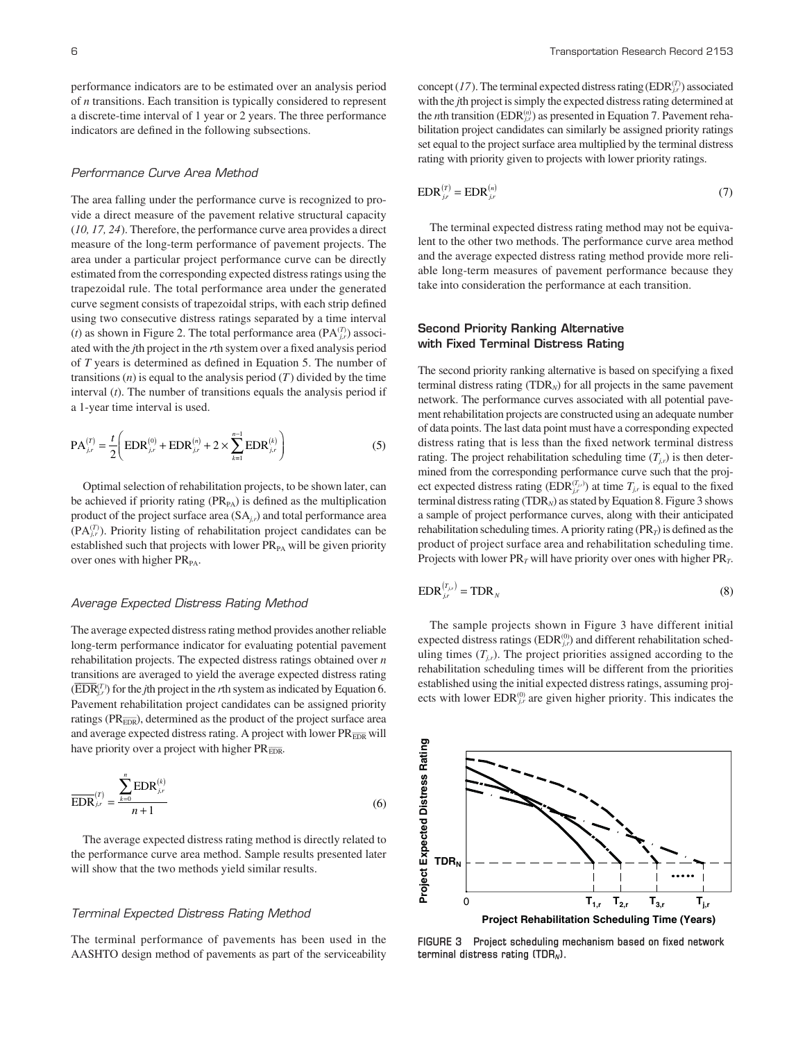performance indicators are to be estimated over an analysis period of *n* transitions. Each transition is typically considered to represent a discrete-time interval of 1 year or 2 years. The three performance indicators are defined in the following subsections.

#### Performance Curve Area Method

The area falling under the performance curve is recognized to provide a direct measure of the pavement relative structural capacity (*10, 17, 24*). Therefore, the performance curve area provides a direct measure of the long-term performance of pavement projects. The area under a particular project performance curve can be directly estimated from the corresponding expected distress ratings using the trapezoidal rule. The total performance area under the generated curve segment consists of trapezoidal strips, with each strip defined using two consecutive distress ratings separated by a time interval (*t*) as shown in Figure 2. The total performance area  $(PA_{j,r}^{(T)})$  associated with the *j*th project in the *r*th system over a fixed analysis period of *T* years is determined as defined in Equation 5. The number of transitions  $(n)$  is equal to the analysis period  $(T)$  divided by the time interval (*t*). The number of transitions equals the analysis period if a 1-year time interval is used.

$$
PA_{j,r}^{(T)} = \frac{t}{2} \bigg( EDR_{j,r}^{(0)} + EDR_{j,r}^{(n)} + 2 \times \sum_{k=1}^{n-1} EDR_{j,r}^{(k)} \bigg)
$$
 (5)

Optimal selection of rehabilitation projects, to be shown later, can be achieved if priority rating  $(PR_{PA})$  is defined as the multiplication product of the project surface area (SA*j,r*) and total performance area  $(PA_{j,r}^{(T)})$ . Priority listing of rehabilitation project candidates can be established such that projects with lower  $PR_{PA}$  will be given priority over ones with higher  $PR_{PA}$ .

#### Average Expected Distress Rating Method

The average expected distress rating method provides another reliable long-term performance indicator for evaluating potential pavement rehabilitation projects. The expected distress ratings obtained over *n* transitions are averaged to yield the average expected distress rating transitions are averaged to yield the average expected distress rating  $(\overline{EDR}_{\mu\nu}^{(T)})$  for the *j*th project in the *r*th system as indicated by Equation 6. Pavement rehabilitation project candidates can be assigned priority ratings ( $PR_{\overline{EDR}}$ ), determined as the product of the project surface area and average expected distress rating. A project with lower  $\text{PR}_{\overline{\text{EDR}}}$  will have priority over a project with higher  $\text{PR}_{\overline{\text{EDR}}}$ .

$$
\frac{\sum_{k=0}^{n} EDR_{j,r}^{(k)}}{n+1}
$$
 (6)

The average expected distress rating method is directly related to the performance curve area method. Sample results presented later will show that the two methods yield similar results.

#### Terminal Expected Distress Rating Method

The terminal performance of pavements has been used in the AASHTO design method of pavements as part of the serviceability

concept (17). The terminal expected distress rating ( $EDR_{j,r}^{(T)}$ ) associated with the *j*th project is simply the expected distress rating determined at the *n*th transition (EDR $_{j,r}^{(n)}$ ) as presented in Equation 7. Pavement rehabilitation project candidates can similarly be assigned priority ratings set equal to the project surface area multiplied by the terminal distress rating with priority given to projects with lower priority ratings.

$$
\text{EDR}_{j,r}^{(T)} = \text{EDR}_{j,r}^{(n)}\tag{7}
$$

The terminal expected distress rating method may not be equivalent to the other two methods. The performance curve area method and the average expected distress rating method provide more reliable long-term measures of pavement performance because they take into consideration the performance at each transition.

## **Second Priority Ranking Alternative with Fixed Terminal Distress Rating**

The second priority ranking alternative is based on specifying a fixed terminal distress rating  $(TDR_N)$  for all projects in the same pavement network. The performance curves associated with all potential pavement rehabilitation projects are constructed using an adequate number of data points. The last data point must have a corresponding expected distress rating that is less than the fixed network terminal distress rating. The project rehabilitation scheduling time  $(T_{ir})$  is then determined from the corresponding performance curve such that the project expected distress rating  $(\text{EDR}_{j,r}^{(T_{j,r})})$  at time  $T_{j,r}$  is equal to the fixed terminal distress rating (TDR<sub>N</sub>) as stated by Equation 8. Figure 3 shows a sample of project performance curves, along with their anticipated rehabilitation scheduling times. A priority rating  $(\text{PR}_T)$  is defined as the product of project surface area and rehabilitation scheduling time. Projects with lower  $PR_T$  will have priority over ones with higher  $PR_T$ .

$$
EDR_{j,r}^{(T_{j,r})} = TDR_{N}
$$
\n(8)

The sample projects shown in Figure 3 have different initial expected distress ratings  $(EDR_{j,r}^{(0)})$  and different rehabilitation scheduling times  $(T_{i,r})$ . The project priorities assigned according to the rehabilitation scheduling times will be different from the priorities established using the initial expected distress ratings, assuming projects with lower  $EDR_{j,r}^{(0)}$  are given higher priority. This indicates the



**FIGURE 3 Project scheduling mechanism based on fixed network terminal distress rating (TDR***N***).**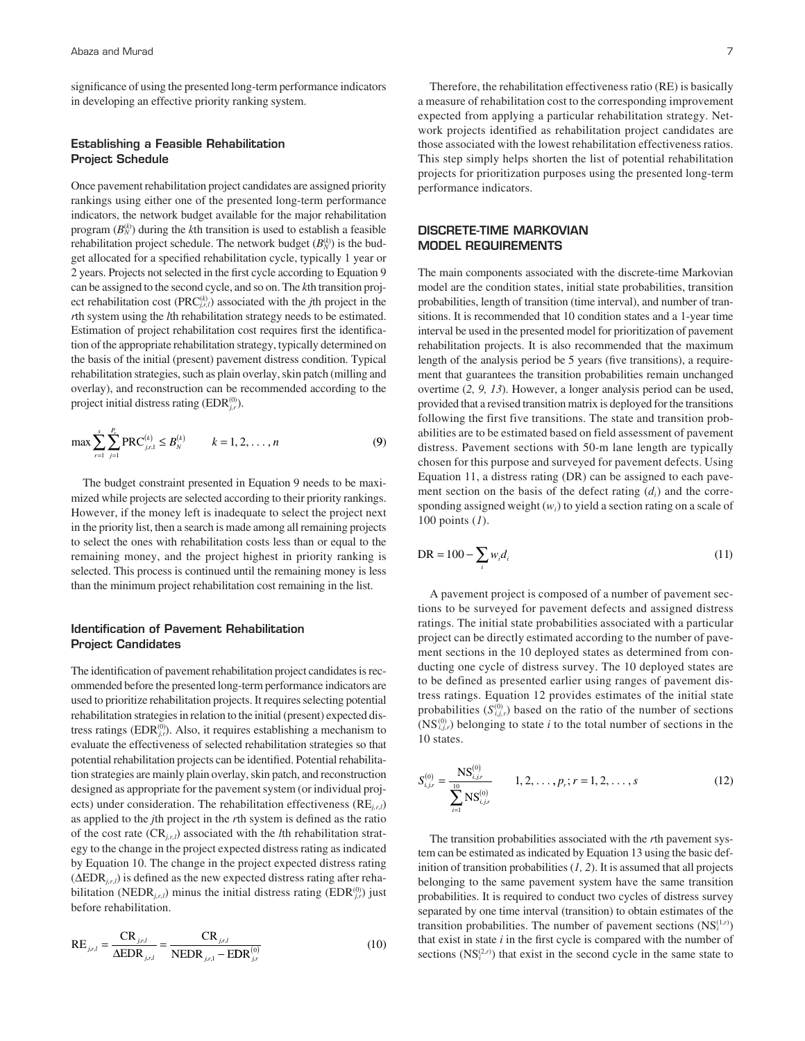significance of using the presented long-term performance indicators in developing an effective priority ranking system.

## **Establishing a Feasible Rehabilitation Project Schedule**

Once pavement rehabilitation project candidates are assigned priority rankings using either one of the presented long-term performance indicators, the network budget available for the major rehabilitation program  $(B_N^{(k)})$  during the *k*th transition is used to establish a feasible rehabilitation project schedule. The network budget  $(B_N^{(k)})$  is the budget allocated for a specified rehabilitation cycle, typically 1 year or 2 years. Projects not selected in the first cycle according to Equation 9 can be assigned to the second cycle, and so on. The *k*th transition project rehabilitation cost  $(PRC<sub>j,r,l</sub><sup>(k)</sup>)$  associated with the *j*th project in the *r*th system using the *l*th rehabilitation strategy needs to be estimated. Estimation of project rehabilitation cost requires first the identification of the appropriate rehabilitation strategy, typically determined on the basis of the initial (present) pavement distress condition. Typical rehabilitation strategies, such as plain overlay, skin patch (milling and overlay), and reconstruction can be recommended according to the project initial distress rating (EDR<sup>(0)</sup>).

$$
\max \sum_{r=1}^{s} \sum_{j=1}^{P_r} \text{PRC}_{j,r,1}^{(k)} \le B_N^{(k)} \qquad k = 1, 2, \dots, n
$$
 (9)

The budget constraint presented in Equation 9 needs to be maximized while projects are selected according to their priority rankings. However, if the money left is inadequate to select the project next in the priority list, then a search is made among all remaining projects to select the ones with rehabilitation costs less than or equal to the remaining money, and the project highest in priority ranking is selected. This process is continued until the remaining money is less than the minimum project rehabilitation cost remaining in the list.

## **Identification of Pavement Rehabilitation Project Candidates**

The identification of pavement rehabilitation project candidates is recommended before the presented long-term performance indicators are used to prioritize rehabilitation projects. It requires selecting potential rehabilitation strategies in relation to the initial (present) expected distress ratings (EDR $_{ir}^{(0)}$ ). Also, it requires establishing a mechanism to evaluate the effectiveness of selected rehabilitation strategies so that potential rehabilitation projects can be identified. Potential rehabilitation strategies are mainly plain overlay, skin patch, and reconstruction designed as appropriate for the pavement system (or individual projects) under consideration. The rehabilitation effectiveness (RE<sub>*i,r,l*</sub>) as applied to the *j*th project in the *r*th system is defined as the ratio of the cost rate (CR*j,r,l*) associated with the *l*th rehabilitation strategy to the change in the project expected distress rating as indicated by Equation 10. The change in the project expected distress rating  $(\Delta EDR<sub>i,r,l</sub>)$  is defined as the new expected distress rating after rehabilitation (NEDR<sub>*j,r,l*</sub>) minus the initial distress rating (EDR<sup>(0)</sup>) just before rehabilitation.

$$
RE_{j,r,l} = \frac{CR_{j,r,l}}{\Delta EDR_{j,r,l}} = \frac{CR_{j,r,l}}{NEDR_{j,r,l} - EDR_{j,r}^{(0)}}
$$
(10)

Therefore, the rehabilitation effectiveness ratio (RE) is basically a measure of rehabilitation cost to the corresponding improvement expected from applying a particular rehabilitation strategy. Network projects identified as rehabilitation project candidates are those associated with the lowest rehabilitation effectiveness ratios. This step simply helps shorten the list of potential rehabilitation projects for prioritization purposes using the presented long-term performance indicators.

## **DISCRETE-TIME MARKOVIAN MODEL REQUIREMENTS**

The main components associated with the discrete-time Markovian model are the condition states, initial state probabilities, transition probabilities, length of transition (time interval), and number of transitions. It is recommended that 10 condition states and a 1-year time interval be used in the presented model for prioritization of pavement rehabilitation projects. It is also recommended that the maximum length of the analysis period be 5 years (five transitions), a requirement that guarantees the transition probabilities remain unchanged overtime (*2, 9, 13*). However, a longer analysis period can be used, provided that a revised transition matrix is deployed for the transitions following the first five transitions. The state and transition probabilities are to be estimated based on field assessment of pavement distress. Pavement sections with 50-m lane length are typically chosen for this purpose and surveyed for pavement defects. Using Equation 11, a distress rating (DR) can be assigned to each pavement section on the basis of the defect rating (*di*) and the corresponding assigned weight  $(w_i)$  to yield a section rating on a scale of 100 points (*1*).

$$
DR = 100 - \sum_{i} w_i d_i \tag{11}
$$

A pavement project is composed of a number of pavement sections to be surveyed for pavement defects and assigned distress ratings. The initial state probabilities associated with a particular project can be directly estimated according to the number of pavement sections in the 10 deployed states as determined from conducting one cycle of distress survey. The 10 deployed states are to be defined as presented earlier using ranges of pavement distress ratings. Equation 12 provides estimates of the initial state probabilities  $(S_{i,j,r}^{(0)})$  based on the ratio of the number of sections  $(NS_{i,j,r}^{(0)})$  belonging to state *i* to the total number of sections in the 10 states.

$$
S_{i,j,r}^{(0)} = \frac{\text{NS}_{i,j,r}^{(0)}}{\sum_{i=1}^{10} \text{NS}_{i,j,r}^{(0)}} \qquad 1, 2, \dots, p_r; r = 1, 2, \dots, s \qquad (12)
$$

The transition probabilities associated with the *r*th pavement system can be estimated as indicated by Equation 13 using the basic definition of transition probabilities (*1, 2*). It is assumed that all projects belonging to the same pavement system have the same transition probabilities. It is required to conduct two cycles of distress survey separated by one time interval (transition) to obtain estimates of the transition probabilities. The number of pavement sections  $(NS_i^{(1,r)})$ that exist in state *i* in the first cycle is compared with the number of sections  $\left(\text{NS}_{i}^{(2,r)}\right)$  that exist in the second cycle in the same state to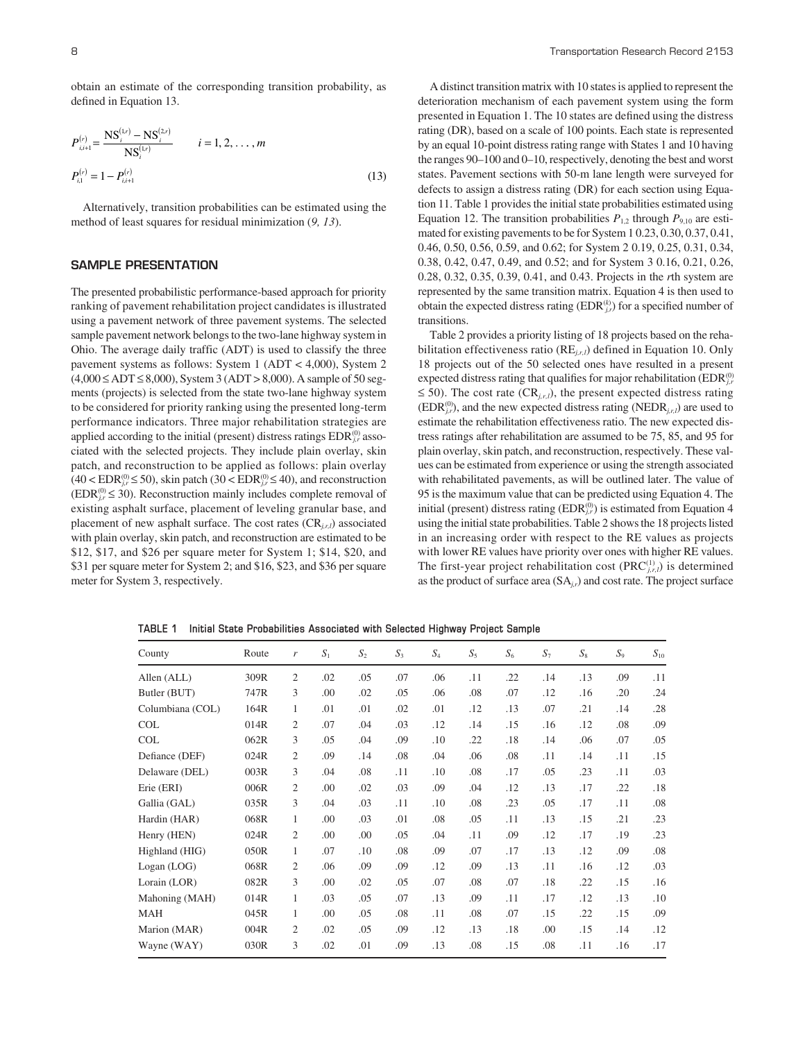obtain an estimate of the corresponding transition probability, as defined in Equation 13.

$$
P_{i,i+1}^{(r)} = \frac{\text{NS}_i^{(1,r)} - \text{NS}_i^{(2,r)}}{\text{NS}_i^{(1,r)}} \qquad i = 1, 2, ..., m
$$
  

$$
P_{i,1}^{(r)} = 1 - P_{i,i+1}^{(r)}
$$
 (13)

Alternatively, transition probabilities can be estimated using the method of least squares for residual minimization (*9, 13*).

## **SAMPLE PRESENTATION**

The presented probabilistic performance-based approach for priority ranking of pavement rehabilitation project candidates is illustrated using a pavement network of three pavement systems. The selected sample pavement network belongs to the two-lane highway system in Ohio. The average daily traffic (ADT) is used to classify the three pavement systems as follows: System 1 (ADT < 4,000), System 2  $(4,000 \le ADT \le 8,000)$ , System 3 (ADT > 8,000). A sample of 50 segments (projects) is selected from the state two-lane highway system to be considered for priority ranking using the presented long-term performance indicators. Three major rehabilitation strategies are applied according to the initial (present) distress ratings  $EDR_{j,r}^{(0)}$  associated with the selected projects. They include plain overlay, skin patch, and reconstruction to be applied as follows: plain overlay  $(40 < \text{EDR}_{j,r}^{(0)} \le 50)$ , skin patch  $(30 < \text{EDR}_{j,r}^{(0)} \le 40)$ , and reconstruction  $(EDR_{j,r}^{(0)} \leq 30)$ . Reconstruction mainly includes complete removal of existing asphalt surface, placement of leveling granular base, and placement of new asphalt surface. The cost rates  $(CR_{i,ri})$  associated with plain overlay, skin patch, and reconstruction are estimated to be \$12, \$17, and \$26 per square meter for System 1; \$14, \$20, and \$31 per square meter for System 2; and \$16, \$23, and \$36 per square meter for System 3, respectively.

A distinct transition matrix with 10 states is applied to represent the deterioration mechanism of each pavement system using the form presented in Equation 1. The 10 states are defined using the distress rating (DR), based on a scale of 100 points. Each state is represented by an equal 10-point distress rating range with States 1 and 10 having the ranges 90–100 and 0–10, respectively, denoting the best and worst states. Pavement sections with 50-m lane length were surveyed for defects to assign a distress rating (DR) for each section using Equation 11. Table 1 provides the initial state probabilities estimated using Equation 12. The transition probabilities  $P_{1,2}$  through  $P_{9,10}$  are estimated for existing pavements to be for System 1 0.23, 0.30, 0.37, 0.41, 0.46, 0.50, 0.56, 0.59, and 0.62; for System 2 0.19, 0.25, 0.31, 0.34, 0.38, 0.42, 0.47, 0.49, and 0.52; and for System 3 0.16, 0.21, 0.26, 0.28, 0.32, 0.35, 0.39, 0.41, and 0.43. Projects in the *r*th system are represented by the same transition matrix. Equation 4 is then used to obtain the expected distress rating  $(EDR^{(k)}_{j,r})$  for a specified number of transitions.

Table 2 provides a priority listing of 18 projects based on the rehabilitation effectiveness ratio (RE<sub>*i,r*)</sub> defined in Equation 10. Only 18 projects out of the 50 selected ones have resulted in a present expected distress rating that qualifies for major rehabilitation  $(EDR_{j,r}^{(0)}$ ≤ 50). The cost rate  $(CR_{i,r,l})$ , the present expected distress rating  $(EDR_{j,r}^{(0)})$ , and the new expected distress rating  $(NEDR_{j,r,l})$  are used to estimate the rehabilitation effectiveness ratio. The new expected distress ratings after rehabilitation are assumed to be 75, 85, and 95 for plain overlay, skin patch, and reconstruction, respectively. These values can be estimated from experience or using the strength associated with rehabilitated pavements, as will be outlined later. The value of 95 is the maximum value that can be predicted using Equation 4. The initial (present) distress rating  $(EDR_{j,r}^{(0)})$  is estimated from Equation 4 using the initial state probabilities. Table 2 shows the 18 projects listed in an increasing order with respect to the RE values as projects with lower RE values have priority over ones with higher RE values. The first-year project rehabilitation cost  $(PRC^{(1)}_{j,r,l})$  is determined as the product of surface area  $(SA_{i,r})$  and cost rate. The project surface

**TABLE 1 Initial State Probabilities Associated with Selected Highway Project Sample**

| County           | Route | r              | $S_1$ | $S_2$ | $S_3$ | $S_4$ | $S_5$ | $S_6$ | $S_7$ | $S_8$ | $S_9$ | $S_{10}$ |
|------------------|-------|----------------|-------|-------|-------|-------|-------|-------|-------|-------|-------|----------|
| Allen (ALL)      | 309R  | $\overline{c}$ | .02   | .05   | .07   | .06   | .11   | .22   | .14   | .13   | .09   | .11      |
| Butler (BUT)     | 747R  | 3              | .00   | .02   | .05   | .06   | .08   | .07   | .12   | .16   | .20   | .24      |
| Columbiana (COL) | 164R  | 1              | .01   | .01   | .02   | .01   | .12   | .13   | .07   | .21   | .14   | .28      |
| <b>COL</b>       | 014R  | $\overline{c}$ | .07   | .04   | .03   | .12   | .14   | .15   | .16   | .12   | .08   | .09      |
| <b>COL</b>       | 062R  | 3              | .05   | .04   | .09   | .10   | .22   | .18   | .14   | .06   | .07   | .05      |
| Defiance (DEF)   | 024R  | $\overline{2}$ | .09   | .14   | .08   | .04   | .06   | .08   | .11   | .14   | .11   | .15      |
| Delaware (DEL)   | 003R  | 3              | .04   | .08   | .11   | .10   | .08   | .17   | .05   | .23   | .11   | .03      |
| Erie (ERI)       | 006R  | $\overline{c}$ | .00   | .02   | .03   | .09   | .04   | .12   | .13   | .17   | .22   | .18      |
| Gallia (GAL)     | 035R  | 3              | .04   | .03   | .11   | .10   | .08   | .23   | .05   | .17   | .11   | .08      |
| Hardin (HAR)     | 068R  | 1              | .00   | .03   | .01   | .08   | .05   | .11   | .13   | .15   | .21   | .23      |
| Henry (HEN)      | 024R  | $\overline{c}$ | .00   | .00   | .05   | .04   | .11   | .09   | .12   | .17   | .19   | .23      |
| Highland (HIG)   | 050R  | 1              | .07   | .10   | .08   | .09   | .07   | .17   | .13   | .12   | .09   | .08      |
| Logan (LOG)      | 068R  | $\overline{c}$ | .06   | .09   | .09   | .12   | .09   | .13   | .11   | .16   | .12   | .03      |
| Lorain (LOR)     | 082R  | 3              | .00   | .02   | .05   | .07   | .08   | .07   | .18   | .22   | .15   | .16      |
| Mahoning (MAH)   | 014R  | 1              | .03   | .05   | .07   | .13   | .09   | .11   | .17   | .12   | .13   | .10      |
| <b>MAH</b>       | 045R  | 1              | .00   | .05   | .08   | .11   | .08   | .07   | .15   | .22   | .15   | .09      |
| Marion (MAR)     | 004R  | $\overline{c}$ | .02   | .05   | .09   | .12   | .13   | .18   | .00   | .15   | .14   | .12      |
| Wayne (WAY)      | 030R  | 3              | .02   | .01   | .09   | .13   | .08   | .15   | .08   | .11   | .16   | .17      |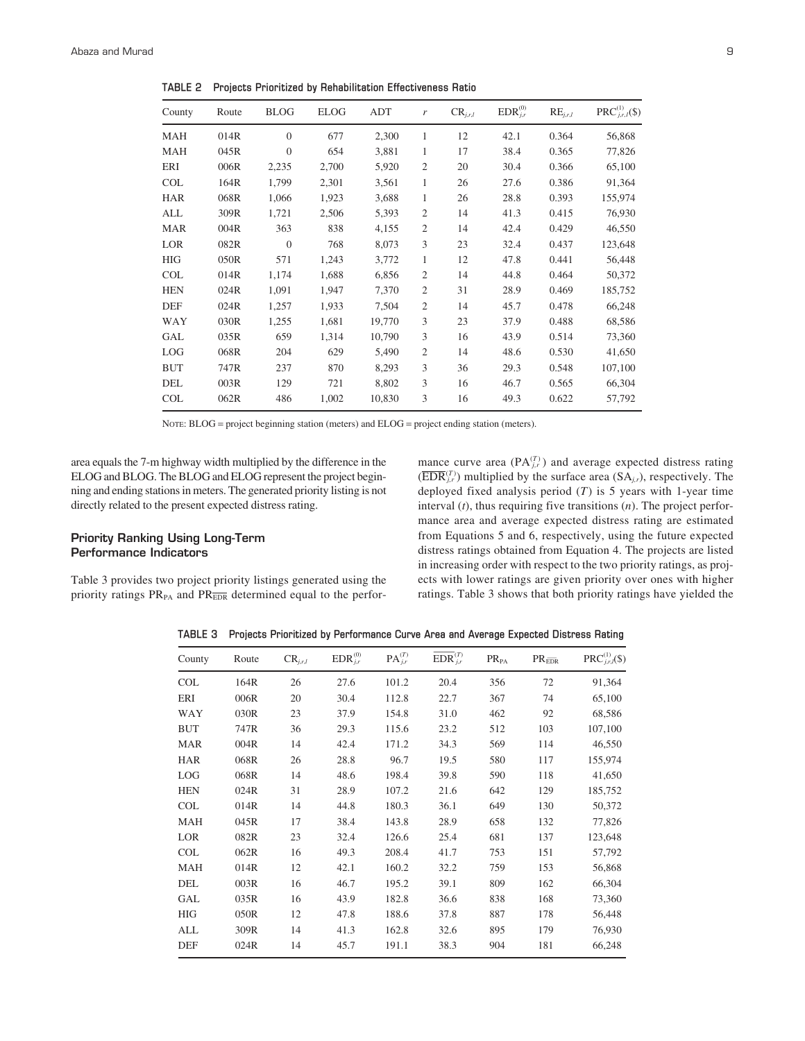**TABLE 2 Projects Prioritized by Rehabilitation Effectiveness Ratio**

| County     | Route | <b>BLOG</b> | <b>ELOG</b> | ADT    | r              | $\text{CR}_{j,r,l}$ | $EDR_{j,r}^{(0)}$ | $RE_{j,r,l}$ | $\text{PRC}^{(1)}_{j,r,l}(\$)$ |
|------------|-------|-------------|-------------|--------|----------------|---------------------|-------------------|--------------|--------------------------------|
| <b>MAH</b> | 014R  | $\Omega$    | 677         | 2,300  | 1              | 12                  | 42.1              | 0.364        | 56,868                         |
| <b>MAH</b> | 045R  | $\Omega$    | 654         | 3,881  | 1              | 17                  | 38.4              | 0.365        | 77,826                         |
| ERI        | 006R  | 2,235       | 2,700       | 5,920  | $\overline{2}$ | 20                  | 30.4              | 0.366        | 65,100                         |
| <b>COL</b> | 164R  | 1,799       | 2,301       | 3,561  | 1              | 26                  | 27.6              | 0.386        | 91,364                         |
| <b>HAR</b> | 068R  | 1,066       | 1,923       | 3,688  | 1              | 26                  | 28.8              | 0.393        | 155,974                        |
| ALL        | 309R  | 1,721       | 2,506       | 5,393  | $\overline{2}$ | 14                  | 41.3              | 0.415        | 76,930                         |
| <b>MAR</b> | 004R  | 363         | 838         | 4,155  | $\overline{2}$ | 14                  | 42.4              | 0.429        | 46,550                         |
| LOR        | 082R  | $\Omega$    | 768         | 8,073  | 3              | 23                  | 32.4              | 0.437        | 123,648                        |
| <b>HIG</b> | 050R  | 571         | 1,243       | 3,772  | 1              | 12                  | 47.8              | 0.441        | 56,448                         |
| <b>COL</b> | 014R  | 1,174       | 1,688       | 6,856  | $\overline{2}$ | 14                  | 44.8              | 0.464        | 50,372                         |
| <b>HEN</b> | 024R  | 1,091       | 1,947       | 7,370  | $\overline{2}$ | 31                  | 28.9              | 0.469        | 185,752                        |
| <b>DEF</b> | 024R  | 1,257       | 1,933       | 7,504  | $\overline{2}$ | 14                  | 45.7              | 0.478        | 66,248                         |
| WAY        | 030R  | 1,255       | 1,681       | 19,770 | 3              | 23                  | 37.9              | 0.488        | 68,586                         |
| GAL        | 035R  | 659         | 1,314       | 10,790 | 3              | 16                  | 43.9              | 0.514        | 73,360                         |
| <b>LOG</b> | 068R  | 204         | 629         | 5,490  | $\overline{2}$ | 14                  | 48.6              | 0.530        | 41,650                         |
| <b>BUT</b> | 747R  | 237         | 870         | 8,293  | 3              | 36                  | 29.3              | 0.548        | 107,100                        |
| <b>DEL</b> | 003R  | 129         | 721         | 8,802  | 3              | 16                  | 46.7              | 0.565        | 66,304                         |
| <b>COL</b> | 062R  | 486         | 1,002       | 10,830 | 3              | 16                  | 49.3              | 0.622        | 57,792                         |

NOTE: BLOG = project beginning station (meters) and ELOG = project ending station (meters).

area equals the 7-m highway width multiplied by the difference in the ELOG and BLOG. The BLOG and ELOG represent the project beginning and ending stations in meters. The generated priority listing is not directly related to the present expected distress rating.

## **Priority Ranking Using Long-Term Performance Indicators**

Table 3 provides two project priority listings generated using the priority ratings  $PR_{PA}$  and  $PR_{EDR}$  determined equal to the perfor-

mance curve area  $(PA_{j,r}^{(T)})$  and average expected distress rating  $(\overline{EDR}_{j,r}^{(T)})$  multiplied by the surface area  $(SA_{j,r})$ , respectively. The deployed fixed analysis period (*T*) is 5 years with 1-year time interval (*t*), thus requiring five transitions (*n*). The project performance area and average expected distress rating are estimated from Equations 5 and 6, respectively, using the future expected distress ratings obtained from Equation 4. The projects are listed in increasing order with respect to the two priority ratings, as projects with lower ratings are given priority over ones with higher ratings. Table 3 shows that both priority ratings have yielded the

**TABLE 3 Projects Prioritized by Performance Curve Area and Average Expected Distress Rating**

| County     | Route | $\text{CR}_{j,r,l}$ | $EDR_{i,r}^{(0)}$ | $PA_{j,r}^{(T)}$ | $\overline{\text{EDR}}_{i,r}^{(T)}$ | $PR_{PA}$ | $\text{PR}_{\widetilde{\text{EDR}}}$ | $PRC^{(1)}_{j,r,l}(\$)$ |
|------------|-------|---------------------|-------------------|------------------|-------------------------------------|-----------|--------------------------------------|-------------------------|
| <b>COL</b> | 164R  | 26                  | 27.6              | 101.2            | 20.4                                | 356       | 72                                   | 91,364                  |
| ERI        | 006R  | 20                  | 30.4              | 112.8            | 22.7                                | 367       | 74                                   | 65,100                  |
| <b>WAY</b> | 030R  | 23                  | 37.9              | 154.8            | 31.0                                | 462       | 92                                   | 68,586                  |
| <b>BUT</b> | 747R  | 36                  | 29.3              | 115.6            | 23.2                                | 512       | 103                                  | 107,100                 |
| <b>MAR</b> | 004R  | 14                  | 42.4              | 171.2            | 34.3                                | 569       | 114                                  | 46,550                  |
| <b>HAR</b> | 068R  | 26                  | 28.8              | 96.7             | 19.5                                | 580       | 117                                  | 155,974                 |
| <b>LOG</b> | 068R  | 14                  | 48.6              | 198.4            | 39.8                                | 590       | 118                                  | 41,650                  |
| <b>HEN</b> | 024R  | 31                  | 28.9              | 107.2            | 21.6                                | 642       | 129                                  | 185,752                 |
| <b>COL</b> | 014R  | 14                  | 44.8              | 180.3            | 36.1                                | 649       | 130                                  | 50,372                  |
| MAH        | 045R  | 17                  | 38.4              | 143.8            | 28.9                                | 658       | 132                                  | 77,826                  |
| LOR        | 082R  | 23                  | 32.4              | 126.6            | 25.4                                | 681       | 137                                  | 123,648                 |
| <b>COL</b> | 062R  | 16                  | 49.3              | 208.4            | 41.7                                | 753       | 151                                  | 57,792                  |
| MAH        | 014R  | 12                  | 42.1              | 160.2            | 32.2                                | 759       | 153                                  | 56,868                  |
| DEL        | 003R  | 16                  | 46.7              | 195.2            | 39.1                                | 809       | 162                                  | 66,304                  |
| <b>GAL</b> | 035R  | 16                  | 43.9              | 182.8            | 36.6                                | 838       | 168                                  | 73,360                  |
| <b>HIG</b> | 050R  | 12                  | 47.8              | 188.6            | 37.8                                | 887       | 178                                  | 56,448                  |
| ALL        | 309R  | 14                  | 41.3              | 162.8            | 32.6                                | 895       | 179                                  | 76,930                  |
| <b>DEF</b> | 024R  | 14                  | 45.7              | 191.1            | 38.3                                | 904       | 181                                  | 66,248                  |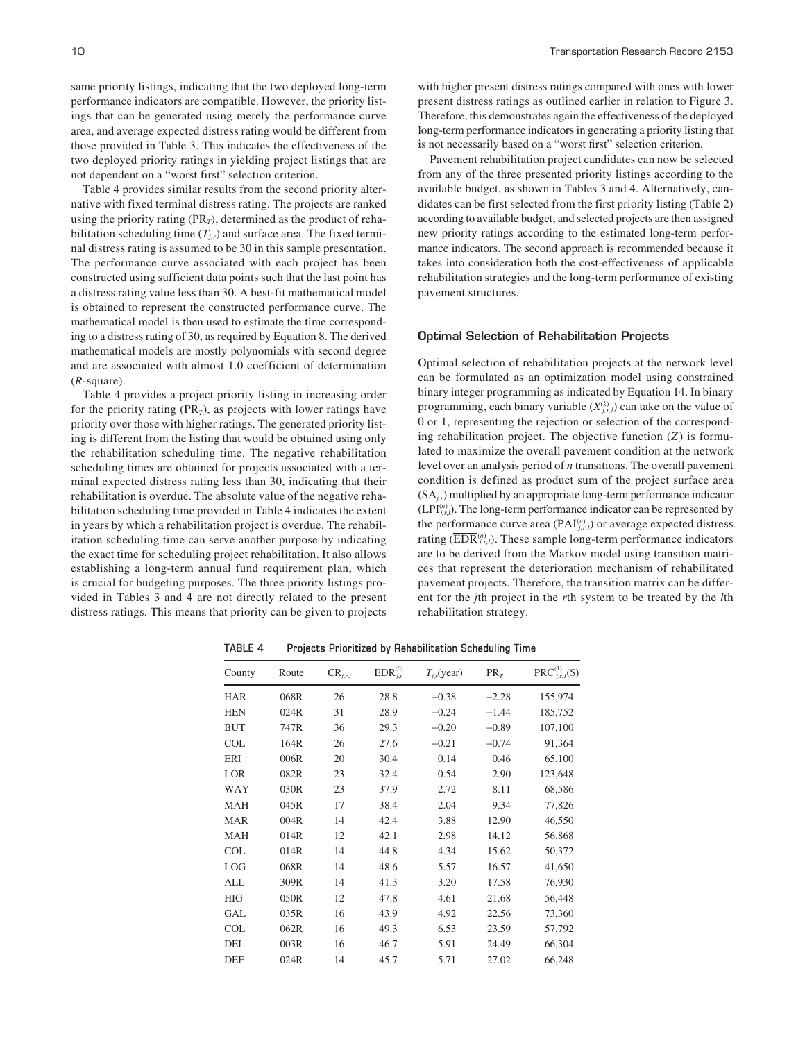same priority listings, indicating that the two deployed long-term performance indicators are compatible. However, the priority listings that can be generated using merely the performance curve area, and average expected distress rating would be different from those provided in Table 3. This indicates the effectiveness of the two deployed priority ratings in yielding project listings that are not dependent on a "worst first" selection criterion.

Table 4 provides similar results from the second priority alternative with fixed terminal distress rating. The projects are ranked using the priority rating  $(\overline{PR}_T)$ , determined as the product of rehabilitation scheduling time  $(T_{i,r})$  and surface area. The fixed terminal distress rating is assumed to be 30 in this sample presentation. The performance curve associated with each project has been constructed using sufficient data points such that the last point has a distress rating value less than 30. A best-fit mathematical model is obtained to represent the constructed performance curve. The mathematical model is then used to estimate the time corresponding to a distress rating of 30, as required by Equation 8. The derived mathematical models are mostly polynomials with second degree and are associated with almost 1.0 coefficient of determination (*R*-square).

Table 4 provides a project priority listing in increasing order for the priority rating  $(PR_T)$ , as projects with lower ratings have priority over those with higher ratings. The generated priority listing is different from the listing that would be obtained using only the rehabilitation scheduling time. The negative rehabilitation scheduling times are obtained for projects associated with a terminal expected distress rating less than 30, indicating that their rehabilitation is overdue. The absolute value of the negative rehabilitation scheduling time provided in Table 4 indicates the extent in years by which a rehabilitation project is overdue. The rehabilitation scheduling time can serve another purpose by indicating the exact time for scheduling project rehabilitation. It also allows establishing a long-term annual fund requirement plan, which is crucial for budgeting purposes. The three priority listings provided in Tables 3 and 4 are not directly related to the present distress ratings. This means that priority can be given to projects with higher present distress ratings compared with ones with lower present distress ratings as outlined earlier in relation to Figure 3. Therefore, this demonstrates again the effectiveness of the deployed long-term performance indicators in generating a priority listing that is not necessarily based on a "worst first" selection criterion.

Pavement rehabilitation project candidates can now be selected from any of the three presented priority listings according to the available budget, as shown in Tables 3 and 4. Alternatively, candidates can be first selected from the first priority listing (Table 2) according to available budget, and selected projects are then assigned new priority ratings according to the estimated long-term performance indicators. The second approach is recommended because it takes into consideration both the cost-effectiveness of applicable rehabilitation strategies and the long-term performance of existing pavement structures.

#### **Optimal Selection of Rehabilitation Projects**

Optimal selection of rehabilitation projects at the network level can be formulated as an optimization model using constrained binary integer programming as indicated by Equation 14. In binary programming, each binary variable  $(X_{j,r,l}^{(k)})$  can take on the value of 0 or 1, representing the rejection or selection of the corresponding rehabilitation project. The objective function (*Z*) is formulated to maximize the overall pavement condition at the network level over an analysis period of *n* transitions. The overall pavement condition is defined as product sum of the project surface area (SA*j,r*) multiplied by an appropriate long-term performance indicator  $(LPI<sub>j,r,l</sub><sup>(n)</sup>)$ . The long-term performance indicator can be represented by the performance curve area  $(PAI_{j,r,l}^{(n)})$  or average expected distress rating  $(\overline{EDR}_{j,r,l}^{(n)})$ . These sample long-term performance indicators are to be derived from the Markov model using transition matrices that represent the deterioration mechanism of rehabilitated pavement projects. Therefore, the transition matrix can be different for the *j*th project in the *r*th system to be treated by the *l*th rehabilitation strategy.

County Route  $CR_{j,r,l}$   $EDR_{j,r}^{(0)}$  $T_{j,r}$ (year) PR<sub>T</sub>  $PRC^{(1)}_{j,r,I}(\$)$ HAR 068R 26 28.8 −0.38 −2.28 155,974 HEN 024R 31 28.9 −0.24 −1.44 185,752 BUT 747R 36 29.3 −0.20 −0.89 107,100 COL 164R 26 27.6 −0.21 −0.74 91,364 ERI 006R 20 30.4 0.14 0.46 65,100 LOR 082R 23 32.4 0.54 2.90 123,648 WAY 030R 23 37.9 2.72 8.11 68,586 MAH 045R 17 38.4 2.04 9.34 77,826 MAR 004R 14 42.4 3.88 12.90 46,550 MAH 014R 12 42.1 2.98 14.12 56,868 COL 014R 14 44.8 4.34 15.62 50,372 LOG 068R 14 48.6 5.57 16.57 41,650 ALL 309R 14 41.3 3.20 17.58 76,930 HIG 050R 12 47.8 4.61 21.68 56,448 GAL 035R 16 43.9 4.92 22.56 73,360 COL 062R 16 49.3 6.53 23.59 57,792 DEL 003R 16 46.7 5.91 24.49 66,304 DEF 024R 14 45.7 5.71 27.02 66,248

**TABLE 4 Projects Prioritized by Rehabilitation Scheduling Time**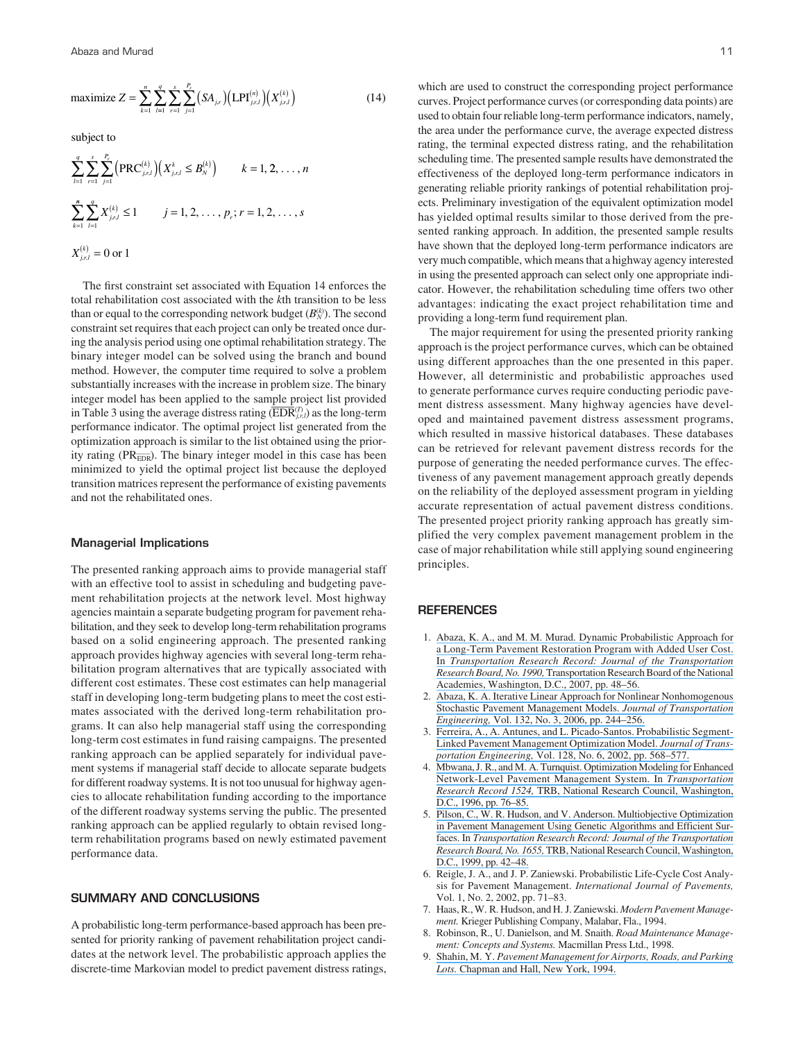maximize 
$$
Z = \sum_{k=1}^{n} \sum_{l=1}^{q} \sum_{r=1}^{s} \sum_{j=1}^{P_r} (SA_{j,r}) (LPI_{j,r,l}^{(n)}) (X_{j,r,l}^{(k)})
$$
 (14)

subject to

$$
\sum_{l=1}^{q} \sum_{r=1}^{s} \sum_{j=1}^{P_r} \left( \text{PRC}_{j,rl}^{(k)} \right) \left( X_{j,rl}^{k} \le B_N^{(k)} \right) \qquad k = 1, 2, \dots, n
$$
\n
$$
\sum_{k=1}^{n} \sum_{l=1}^{q} X_{j,rl}^{(k)} \le 1 \qquad j = 1, 2, \dots, p_r; r = 1, 2, \dots, s
$$
\n
$$
X_{j,rl}^{(k)} = 0 \text{ or } 1
$$

The first constraint set associated with Equation 14 enforces the total rehabilitation cost associated with the *k*th transition to be less than or equal to the corresponding network budget  $(B_N^{(k)})$ . The second constraint set requires that each project can only be treated once during the analysis period using one optimal rehabilitation strategy. The binary integer model can be solved using the branch and bound method. However, the computer time required to solve a problem substantially increases with the increase in problem size. The binary integer model has been applied to the sample project list provided integer model has been applied to the sample project list provided<br>in Table 3 using the average distress rating  $(\overline{EDR}_{j,r_l}^{(T)})$  as the long-term performance indicator. The optimal project list generated from the optimization approach is similar to the list obtained using the priority rating (PR<sub>EDR</sub>). The binary integer model in this case has been minimized to yield the optimal project list because the deployed transition matrices represent the performance of existing pavements and not the rehabilitated ones.

#### **Managerial Implications**

The presented ranking approach aims to provide managerial staff with an effective tool to assist in scheduling and budgeting pavement rehabilitation projects at the network level. Most highway agencies maintain a separate budgeting program for pavement rehabilitation, and they seek to develop long-term rehabilitation programs based on a solid engineering approach. The presented ranking approach provides highway agencies with several long-term rehabilitation program alternatives that are typically associated with different cost estimates. These cost estimates can help managerial staff in developing long-term budgeting plans to meet the cost estimates associated with the derived long-term rehabilitation programs. It can also help managerial staff using the corresponding long-term cost estimates in fund raising campaigns. The presented ranking approach can be applied separately for individual pavement systems if managerial staff decide to allocate separate budgets for different roadway systems. It is not too unusual for highway agencies to allocate rehabilitation funding according to the importance of the different roadway systems serving the public. The presented ranking approach can be applied regularly to obtain revised longterm rehabilitation programs based on newly estimated pavement performance data.

#### **SUMMARY AND CONCLUSIONS**

A probabilistic long-term performance-based approach has been presented for priority ranking of pavement rehabilitation project candidates at the network level. The probabilistic approach applies the discrete-time Markovian model to predict pavement distress ratings,

which are used to construct the corresponding project performance curves. Project performance curves (or corresponding data points) are used to obtain four reliable long-term performance indicators, namely, the area under the performance curve, the average expected distress rating, the terminal expected distress rating, and the rehabilitation scheduling time. The presented sample results have demonstrated the effectiveness of the deployed long-term performance indicators in generating reliable priority rankings of potential rehabilitation projects. Preliminary investigation of the equivalent optimization model has yielded optimal results similar to those derived from the presented ranking approach. In addition, the presented sample results have shown that the deployed long-term performance indicators are very much compatible, which means that a highway agency interested in using the presented approach can select only one appropriate indicator. However, the rehabilitation scheduling time offers two other advantages: indicating the exact project rehabilitation time and providing a long-term fund requirement plan.

The major requirement for using the presented priority ranking approach is the project performance curves, which can be obtained using different approaches than the one presented in this paper. However, all deterministic and probabilistic approaches used to generate performance curves require conducting periodic pavement distress assessment. Many highway agencies have developed and maintained pavement distress assessment programs, which resulted in massive historical databases. These databases can be retrieved for relevant pavement distress records for the purpose of generating the needed performance curves. The effectiveness of any pavement management approach greatly depends on the reliability of the deployed assessment program in yielding accurate representation of actual pavement distress conditions. The presented project priority ranking approach has greatly simplified the very complex pavement management problem in the case of major rehabilitation while still applying sound engineering principles.

#### **REFERENCES**

- 1. [Abaza, K. A., and M. M. Murad. Dynamic Probabilistic Approach for](https://www.researchgate.net/publication/239439123_Dynamic_Probabilistic_Approach_for_Long-Term_Pavement_Restoration_Program_with_Added_User_Cost?el=1_x_8&enrichId=rgreq-60fff9fce34dc03ea61e7d3bd40523b1-XXX&enrichSource=Y292ZXJQYWdlOzI3OTE1NzUyMjtBUzoyNDkyMjU1MzU1NTM1MzdAMTQzNjQzMTQwNjQ4Mg==)  [a Long-Term Pavement Restoration Program with Added User Cost.](https://www.researchgate.net/publication/239439123_Dynamic_Probabilistic_Approach_for_Long-Term_Pavement_Restoration_Program_with_Added_User_Cost?el=1_x_8&enrichId=rgreq-60fff9fce34dc03ea61e7d3bd40523b1-XXX&enrichSource=Y292ZXJQYWdlOzI3OTE1NzUyMjtBUzoyNDkyMjU1MzU1NTM1MzdAMTQzNjQzMTQwNjQ4Mg==) In *[Transportation Research Record: Journal of the Transportation](https://www.researchgate.net/publication/239439123_Dynamic_Probabilistic_Approach_for_Long-Term_Pavement_Restoration_Program_with_Added_User_Cost?el=1_x_8&enrichId=rgreq-60fff9fce34dc03ea61e7d3bd40523b1-XXX&enrichSource=Y292ZXJQYWdlOzI3OTE1NzUyMjtBUzoyNDkyMjU1MzU1NTM1MzdAMTQzNjQzMTQwNjQ4Mg==) Research Board, No. 1990,* [Transportation Research Board of the National](https://www.researchgate.net/publication/239439123_Dynamic_Probabilistic_Approach_for_Long-Term_Pavement_Restoration_Program_with_Added_User_Cost?el=1_x_8&enrichId=rgreq-60fff9fce34dc03ea61e7d3bd40523b1-XXX&enrichSource=Y292ZXJQYWdlOzI3OTE1NzUyMjtBUzoyNDkyMjU1MzU1NTM1MzdAMTQzNjQzMTQwNjQ4Mg==) [Academies, Washington, D.C., 2007, pp. 48–56.](https://www.researchgate.net/publication/239439123_Dynamic_Probabilistic_Approach_for_Long-Term_Pavement_Restoration_Program_with_Added_User_Cost?el=1_x_8&enrichId=rgreq-60fff9fce34dc03ea61e7d3bd40523b1-XXX&enrichSource=Y292ZXJQYWdlOzI3OTE1NzUyMjtBUzoyNDkyMjU1MzU1NTM1MzdAMTQzNjQzMTQwNjQ4Mg==)
- 2. [Abaza, K. A. Iterative Linear Approach for Nonlinear Nonhomogenous](https://www.researchgate.net/publication/245307024_Iterative_Linear_Approach_for_Nonlinear_Nonhomogenous_Stochastic_Pavement_Management_Models?el=1_x_8&enrichId=rgreq-60fff9fce34dc03ea61e7d3bd40523b1-XXX&enrichSource=Y292ZXJQYWdlOzI3OTE1NzUyMjtBUzoyNDkyMjU1MzU1NTM1MzdAMTQzNjQzMTQwNjQ4Mg==) [Stochastic Pavement Management Models.](https://www.researchgate.net/publication/245307024_Iterative_Linear_Approach_for_Nonlinear_Nonhomogenous_Stochastic_Pavement_Management_Models?el=1_x_8&enrichId=rgreq-60fff9fce34dc03ea61e7d3bd40523b1-XXX&enrichSource=Y292ZXJQYWdlOzI3OTE1NzUyMjtBUzoyNDkyMjU1MzU1NTM1MzdAMTQzNjQzMTQwNjQ4Mg==) *Journal of Transportation Engineering,* [Vol. 132, No. 3, 2006, pp. 244–256.](https://www.researchgate.net/publication/245307024_Iterative_Linear_Approach_for_Nonlinear_Nonhomogenous_Stochastic_Pavement_Management_Models?el=1_x_8&enrichId=rgreq-60fff9fce34dc03ea61e7d3bd40523b1-XXX&enrichSource=Y292ZXJQYWdlOzI3OTE1NzUyMjtBUzoyNDkyMjU1MzU1NTM1MzdAMTQzNjQzMTQwNjQ4Mg==)
- 3. [Ferreira, A., A. Antunes, and L. Picado-Santos. Probabilistic Segment-](https://www.researchgate.net/publication/228719110_Probabilistic_Segment-linked_Pavement_Management_Optimization_Model?el=1_x_8&enrichId=rgreq-60fff9fce34dc03ea61e7d3bd40523b1-XXX&enrichSource=Y292ZXJQYWdlOzI3OTE1NzUyMjtBUzoyNDkyMjU1MzU1NTM1MzdAMTQzNjQzMTQwNjQ4Mg==)[Linked Pavement Management Optimization Model.](https://www.researchgate.net/publication/228719110_Probabilistic_Segment-linked_Pavement_Management_Optimization_Model?el=1_x_8&enrichId=rgreq-60fff9fce34dc03ea61e7d3bd40523b1-XXX&enrichSource=Y292ZXJQYWdlOzI3OTE1NzUyMjtBUzoyNDkyMjU1MzU1NTM1MzdAMTQzNjQzMTQwNjQ4Mg==) *Journal of Transportation Engineering,* [Vol. 128, No. 6, 2002, pp. 568–577.](https://www.researchgate.net/publication/228719110_Probabilistic_Segment-linked_Pavement_Management_Optimization_Model?el=1_x_8&enrichId=rgreq-60fff9fce34dc03ea61e7d3bd40523b1-XXX&enrichSource=Y292ZXJQYWdlOzI3OTE1NzUyMjtBUzoyNDkyMjU1MzU1NTM1MzdAMTQzNjQzMTQwNjQ4Mg==)
- 4. [Mbwana, J. R., and M. A. Turnquist. Optimization Modeling for Enhanced](https://www.researchgate.net/publication/238196725_Optimization_Modeling_for_Enhanced_Network-Level_Pavement_Management_System?el=1_x_8&enrichId=rgreq-60fff9fce34dc03ea61e7d3bd40523b1-XXX&enrichSource=Y292ZXJQYWdlOzI3OTE1NzUyMjtBUzoyNDkyMjU1MzU1NTM1MzdAMTQzNjQzMTQwNjQ4Mg==) [Network-Level Pavement Management System. In](https://www.researchgate.net/publication/238196725_Optimization_Modeling_for_Enhanced_Network-Level_Pavement_Management_System?el=1_x_8&enrichId=rgreq-60fff9fce34dc03ea61e7d3bd40523b1-XXX&enrichSource=Y292ZXJQYWdlOzI3OTE1NzUyMjtBUzoyNDkyMjU1MzU1NTM1MzdAMTQzNjQzMTQwNjQ4Mg==) *Transportation Research Record 1524,* [TRB, National Research Council, Washington,](https://www.researchgate.net/publication/238196725_Optimization_Modeling_for_Enhanced_Network-Level_Pavement_Management_System?el=1_x_8&enrichId=rgreq-60fff9fce34dc03ea61e7d3bd40523b1-XXX&enrichSource=Y292ZXJQYWdlOzI3OTE1NzUyMjtBUzoyNDkyMjU1MzU1NTM1MzdAMTQzNjQzMTQwNjQ4Mg==) [D.C., 1996, pp. 76–85.](https://www.researchgate.net/publication/238196725_Optimization_Modeling_for_Enhanced_Network-Level_Pavement_Management_System?el=1_x_8&enrichId=rgreq-60fff9fce34dc03ea61e7d3bd40523b1-XXX&enrichSource=Y292ZXJQYWdlOzI3OTE1NzUyMjtBUzoyNDkyMjU1MzU1NTM1MzdAMTQzNjQzMTQwNjQ4Mg==)
- 5. [Pilson, C., W. R. Hudson, and V. Anderson. Multiobjective Optimization](https://www.researchgate.net/publication/245558506_Multiobjective_Optimization_in_Pavement_Management_by_Using_Genetic_Algorithms_and_Efficient_Surfaces?el=1_x_8&enrichId=rgreq-60fff9fce34dc03ea61e7d3bd40523b1-XXX&enrichSource=Y292ZXJQYWdlOzI3OTE1NzUyMjtBUzoyNDkyMjU1MzU1NTM1MzdAMTQzNjQzMTQwNjQ4Mg==) [in Pavement Management Using Genetic Algorithms and Efficient Sur](https://www.researchgate.net/publication/245558506_Multiobjective_Optimization_in_Pavement_Management_by_Using_Genetic_Algorithms_and_Efficient_Surfaces?el=1_x_8&enrichId=rgreq-60fff9fce34dc03ea61e7d3bd40523b1-XXX&enrichSource=Y292ZXJQYWdlOzI3OTE1NzUyMjtBUzoyNDkyMjU1MzU1NTM1MzdAMTQzNjQzMTQwNjQ4Mg==)faces. In *[Transportation Research Record: Journal of the Transportation](https://www.researchgate.net/publication/245558506_Multiobjective_Optimization_in_Pavement_Management_by_Using_Genetic_Algorithms_and_Efficient_Surfaces?el=1_x_8&enrichId=rgreq-60fff9fce34dc03ea61e7d3bd40523b1-XXX&enrichSource=Y292ZXJQYWdlOzI3OTE1NzUyMjtBUzoyNDkyMjU1MzU1NTM1MzdAMTQzNjQzMTQwNjQ4Mg==) Research Board, No. 1655,* [TRB, National Research Council, Washington,](https://www.researchgate.net/publication/245558506_Multiobjective_Optimization_in_Pavement_Management_by_Using_Genetic_Algorithms_and_Efficient_Surfaces?el=1_x_8&enrichId=rgreq-60fff9fce34dc03ea61e7d3bd40523b1-XXX&enrichSource=Y292ZXJQYWdlOzI3OTE1NzUyMjtBUzoyNDkyMjU1MzU1NTM1MzdAMTQzNjQzMTQwNjQ4Mg==) [D.C., 1999, pp. 42–48.](https://www.researchgate.net/publication/245558506_Multiobjective_Optimization_in_Pavement_Management_by_Using_Genetic_Algorithms_and_Efficient_Surfaces?el=1_x_8&enrichId=rgreq-60fff9fce34dc03ea61e7d3bd40523b1-XXX&enrichSource=Y292ZXJQYWdlOzI3OTE1NzUyMjtBUzoyNDkyMjU1MzU1NTM1MzdAMTQzNjQzMTQwNjQ4Mg==)
- 6. Reigle, J. A., and J. P. Zaniewski. Probabilistic Life-Cycle Cost Analysis for Pavement Management. *International Journal of Pavements,* Vol. 1, No. 2, 2002, pp. 71–83.
- 7. Haas, R., W. R. Hudson, and H. J. Zaniewski. *Modern Pavement Management.* Krieger Publishing Company, Malabar, Fla., 1994.
- 8. Robinson, R., U. Danielson, and M. Snaith. *Road Maintenance Management: Concepts and Systems.* Macmillan Press Ltd., 1998.
- 9. Shahin, M. Y. *[Pavement Management for Airports, Roads, and Parking](https://www.researchgate.net/publication/291441507_Pavement_management_for_airports_roads_and_parking_lots_Second_edition?el=1_x_8&enrichId=rgreq-60fff9fce34dc03ea61e7d3bd40523b1-XXX&enrichSource=Y292ZXJQYWdlOzI3OTE1NzUyMjtBUzoyNDkyMjU1MzU1NTM1MzdAMTQzNjQzMTQwNjQ4Mg==) Lots.* [Chapman and Hall, New York, 1994.](https://www.researchgate.net/publication/291441507_Pavement_management_for_airports_roads_and_parking_lots_Second_edition?el=1_x_8&enrichId=rgreq-60fff9fce34dc03ea61e7d3bd40523b1-XXX&enrichSource=Y292ZXJQYWdlOzI3OTE1NzUyMjtBUzoyNDkyMjU1MzU1NTM1MzdAMTQzNjQzMTQwNjQ4Mg==)